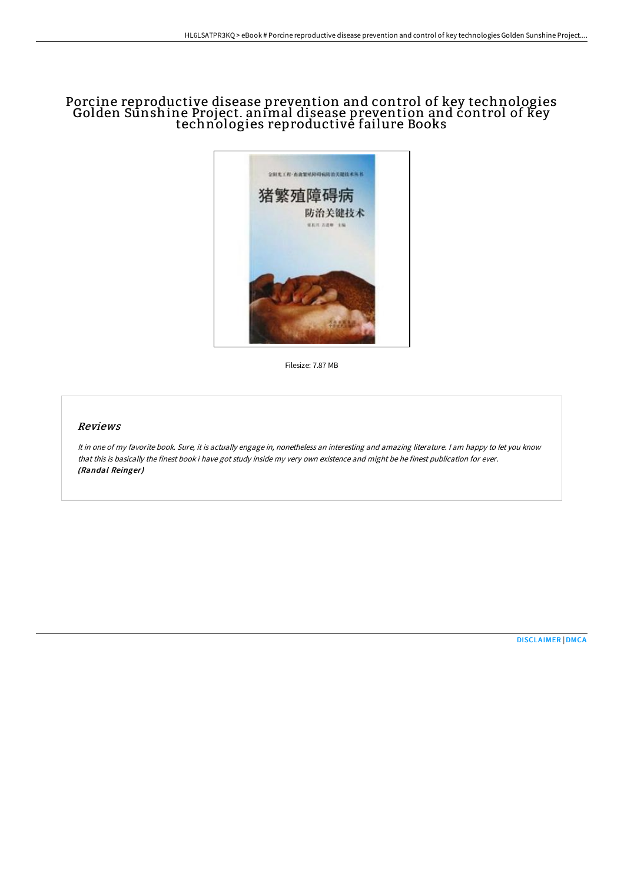# Porcine reproductive disease prevention and control of key technologies Golden Sunshine Project. animal disease prevention and control of key technologies reproductivė failure Books



Filesize: 7.87 MB

### Reviews

It in one of my favorite book. Sure, it is actually engage in, nonetheless an interesting and amazing literature. <sup>I</sup> am happy to let you know that this is basically the finest book i have got study inside my very own existence and might be he finest publication for ever. (Randal Reinger)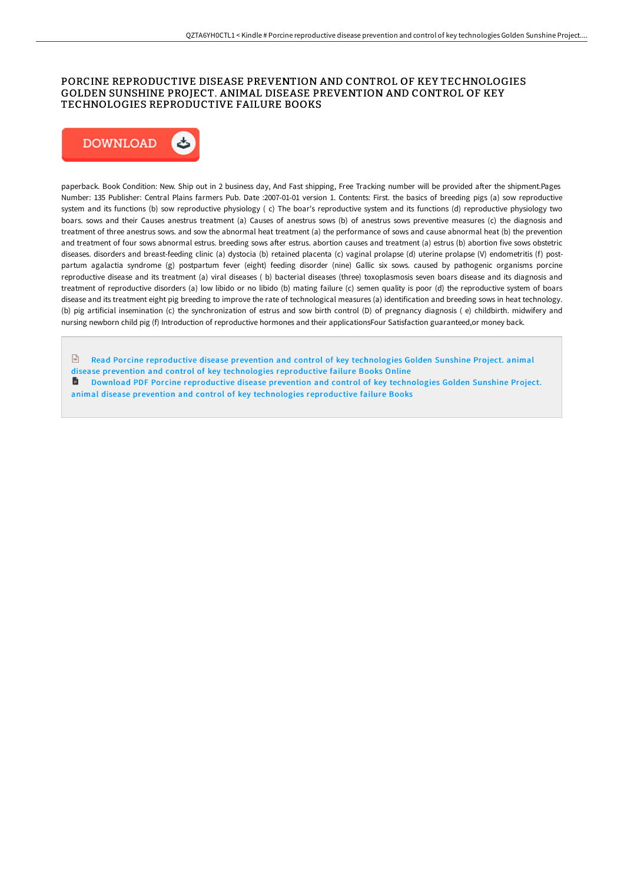## PORCINE REPRODUCTIVE DISEASE PREVENTION AND CONTROL OF KEY TECHNOLOGIES GOLDEN SUNSHINE PROJECT. ANIMAL DISEASE PREVENTION AND CONTROL OF KEY TECHNOLOGIES REPRODUCTIVE FAILURE BOOKS



paperback. Book Condition: New. Ship out in 2 business day, And Fast shipping, Free Tracking number will be provided after the shipment.Pages Number: 135 Publisher: Central Plains farmers Pub. Date :2007-01-01 version 1. Contents: First. the basics of breeding pigs (a) sow reproductive system and its functions (b) sow reproductive physiology ( c) The boar's reproductive system and its functions (d) reproductive physiology two boars. sows and their Causes anestrus treatment (a) Causes of anestrus sows (b) of anestrus sows preventive measures (c) the diagnosis and treatment of three anestrus sows. and sow the abnormal heat treatment (a) the performance of sows and cause abnormal heat (b) the prevention and treatment of four sows abnormal estrus. breeding sows after estrus. abortion causes and treatment (a) estrus (b) abortion five sows obstetric diseases. disorders and breast-feeding clinic (a) dystocia (b) retained placenta (c) vaginal prolapse (d) uterine prolapse (V) endometritis (f) postpartum agalactia syndrome (g) postpartum fever (eight) feeding disorder (nine) Gallic six sows. caused by pathogenic organisms porcine reproductive disease and its treatment (a) viral diseases ( b) bacterial diseases (three) toxoplasmosis seven boars disease and its diagnosis and treatment of reproductive disorders (a) low libido or no libido (b) mating failure (c) semen quality is poor (d) the reproductive system of boars disease and its treatment eight pig breeding to improve the rate of technological measures (a) identification and breeding sows in heat technology. (b) pig artificial insemination (c) the synchronization of estrus and sow birth control (D) of pregnancy diagnosis ( e) childbirth. midwifery and nursing newborn child pig (f) Introduction of reproductive hormones and their applicationsFour Satisfaction guaranteed,or money back.

- $\mathbb{F}$  Read Porcine [reproductive](http://techno-pub.tech/porcine-reproductive-disease-prevention-and-cont.html) disease prevention and control of key technologies Golden Sunshine Project. animal
- disease prevention and control of key technologies reproductive failure Books Online
- **D** Download PDF Porcine [reproductive](http://techno-pub.tech/porcine-reproductive-disease-prevention-and-cont.html) disease prevention and control of key technologies Golden Sunshine Project. animal disease prevention and control of key technologies reproductive failure Books